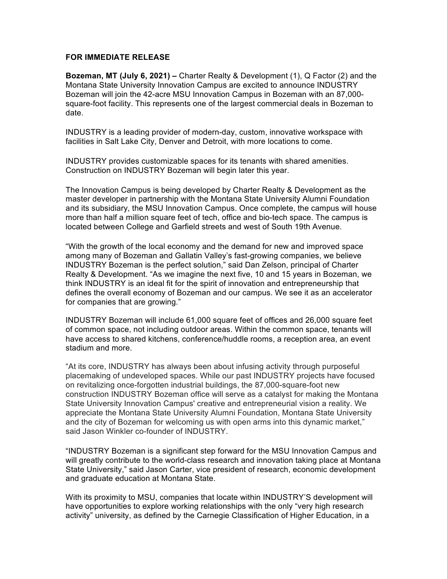## **FOR IMMEDIATE RELEASE**

**Bozeman, MT (July 6, 2021) –** Charter Realty & Development (1), Q Factor (2) and the Montana State University Innovation Campus are excited to announce INDUSTRY Bozeman will join the 42-acre MSU Innovation Campus in Bozeman with an 87,000 square-foot facility. This represents one of the largest commercial deals in Bozeman to date.

INDUSTRY is a leading provider of modern-day, custom, innovative workspace with facilities in Salt Lake City, Denver and Detroit, with more locations to come.

INDUSTRY provides customizable spaces for its tenants with shared amenities. Construction on INDUSTRY Bozeman will begin later this year.

The Innovation Campus is being developed by Charter Realty & Development as the master developer in partnership with the Montana State University Alumni Foundation and its subsidiary, the MSU Innovation Campus. Once complete, the campus will house more than half a million square feet of tech, office and bio-tech space. The campus is located between College and Garfield streets and west of South 19th Avenue.

"With the growth of the local economy and the demand for new and improved space among many of Bozeman and Gallatin Valley's fast-growing companies, we believe INDUSTRY Bozeman is the perfect solution," said Dan Zelson, principal of Charter Realty & Development. "As we imagine the next five, 10 and 15 years in Bozeman, we think INDUSTRY is an ideal fit for the spirit of innovation and entrepreneurship that defines the overall economy of Bozeman and our campus. We see it as an accelerator for companies that are growing."

INDUSTRY Bozeman will include 61,000 square feet of offices and 26,000 square feet of common space, not including outdoor areas. Within the common space, tenants will have access to shared kitchens, conference/huddle rooms, a reception area, an event stadium and more.

"At its core, INDUSTRY has always been about infusing activity through purposeful placemaking of undeveloped spaces. While our past INDUSTRY projects have focused on revitalizing once-forgotten industrial buildings, the 87,000-square-foot new construction INDUSTRY Bozeman office will serve as a catalyst for making the Montana State University Innovation Campus' creative and entrepreneurial vision a reality. We appreciate the Montana State University Alumni Foundation, Montana State University and the city of Bozeman for welcoming us with open arms into this dynamic market," said Jason Winkler co-founder of INDUSTRY.

"INDUSTRY Bozeman is a significant step forward for the MSU Innovation Campus and will greatly contribute to the world-class research and innovation taking place at Montana State University," said Jason Carter, vice president of research, economic development and graduate education at Montana State.

With its proximity to MSU, companies that locate within INDUSTRY'S development will have opportunities to explore working relationships with the only "very high research activity" university, as defined by the Carnegie Classification of Higher Education, in a